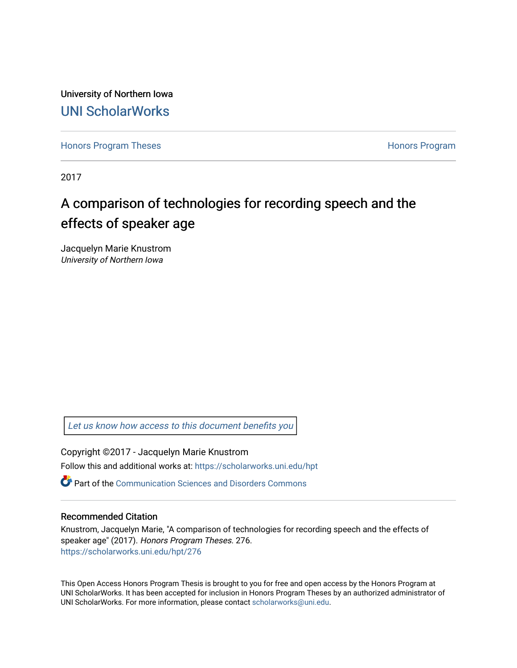University of Northern Iowa [UNI ScholarWorks](https://scholarworks.uni.edu/) 

[Honors Program Theses](https://scholarworks.uni.edu/hpt) **Honors Program** Honors Program

2017

# A comparison of technologies for recording speech and the effects of speaker age

Jacquelyn Marie Knustrom University of Northern Iowa

[Let us know how access to this document benefits you](https://scholarworks.uni.edu/feedback_form.html) 

Copyright ©2017 - Jacquelyn Marie Knustrom Follow this and additional works at: [https://scholarworks.uni.edu/hpt](https://scholarworks.uni.edu/hpt?utm_source=scholarworks.uni.edu%2Fhpt%2F276&utm_medium=PDF&utm_campaign=PDFCoverPages) 

**P** Part of the [Communication Sciences and Disorders Commons](http://network.bepress.com/hgg/discipline/1019?utm_source=scholarworks.uni.edu%2Fhpt%2F276&utm_medium=PDF&utm_campaign=PDFCoverPages)

#### Recommended Citation

Knustrom, Jacquelyn Marie, "A comparison of technologies for recording speech and the effects of speaker age" (2017). Honors Program Theses. 276. [https://scholarworks.uni.edu/hpt/276](https://scholarworks.uni.edu/hpt/276?utm_source=scholarworks.uni.edu%2Fhpt%2F276&utm_medium=PDF&utm_campaign=PDFCoverPages) 

This Open Access Honors Program Thesis is brought to you for free and open access by the Honors Program at UNI ScholarWorks. It has been accepted for inclusion in Honors Program Theses by an authorized administrator of UNI ScholarWorks. For more information, please contact [scholarworks@uni.edu.](mailto:scholarworks@uni.edu)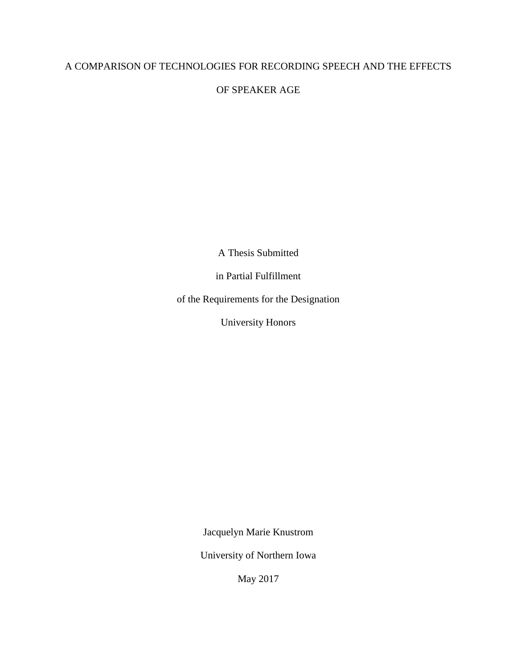## A COMPARISON OF TECHNOLOGIES FOR RECORDING SPEECH AND THE EFFECTS

OF SPEAKER AGE

A Thesis Submitted

in Partial Fulfillment

of the Requirements for the Designation

University Honors

Jacquelyn Marie Knustrom

University of Northern Iowa

May 2017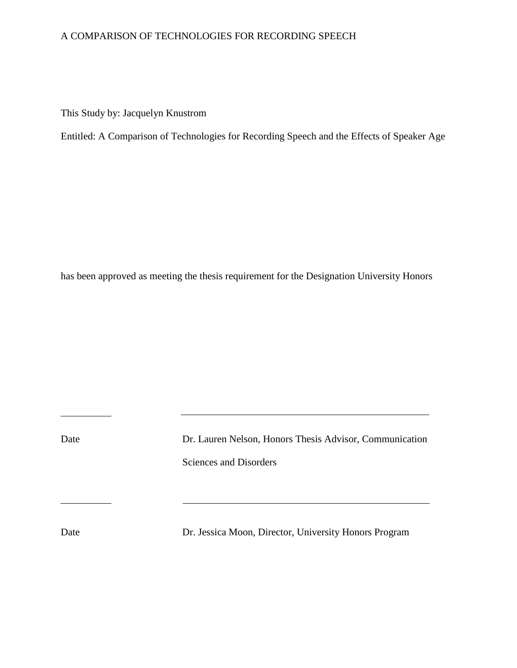## A COMPARISON OF TECHNOLOGIES FOR RECORDING SPEECH

This Study by: Jacquelyn Knustrom

Entitled: A Comparison of Technologies for Recording Speech and the Effects of Speaker Age

has been approved as meeting the thesis requirement for the Designation University Honors

 $\overline{a}$ 

Date Dr. Lauren Nelson, Honors Thesis Advisor, Communication Sciences and Disorders

Date Dr. Jessica Moon, Director, University Honors Program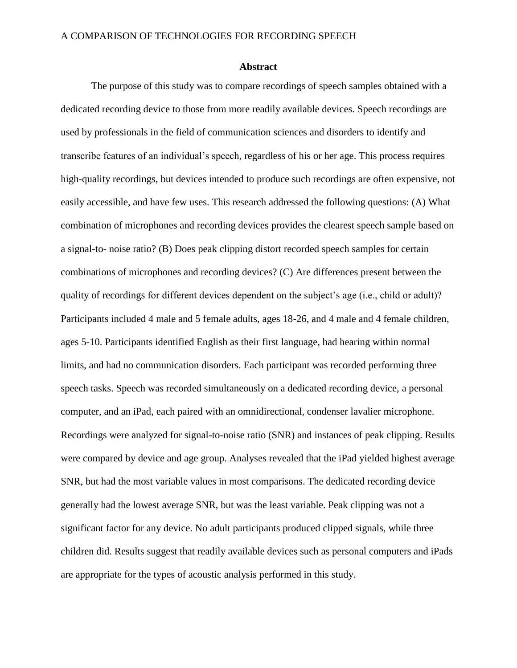#### **Abstract**

The purpose of this study was to compare recordings of speech samples obtained with a dedicated recording device to those from more readily available devices. Speech recordings are used by professionals in the field of communication sciences and disorders to identify and transcribe features of an individual's speech, regardless of his or her age. This process requires high-quality recordings, but devices intended to produce such recordings are often expensive, not easily accessible, and have few uses. This research addressed the following questions: (A) What combination of microphones and recording devices provides the clearest speech sample based on a signal-to- noise ratio? (B) Does peak clipping distort recorded speech samples for certain combinations of microphones and recording devices? (C) Are differences present between the quality of recordings for different devices dependent on the subject's age (i.e., child or adult)? Participants included 4 male and 5 female adults, ages 18-26, and 4 male and 4 female children, ages 5-10. Participants identified English as their first language, had hearing within normal limits, and had no communication disorders. Each participant was recorded performing three speech tasks. Speech was recorded simultaneously on a dedicated recording device, a personal computer, and an iPad, each paired with an omnidirectional, condenser lavalier microphone. Recordings were analyzed for signal-to-noise ratio (SNR) and instances of peak clipping. Results were compared by device and age group. Analyses revealed that the iPad yielded highest average SNR, but had the most variable values in most comparisons. The dedicated recording device generally had the lowest average SNR, but was the least variable. Peak clipping was not a significant factor for any device. No adult participants produced clipped signals, while three children did. Results suggest that readily available devices such as personal computers and iPads are appropriate for the types of acoustic analysis performed in this study.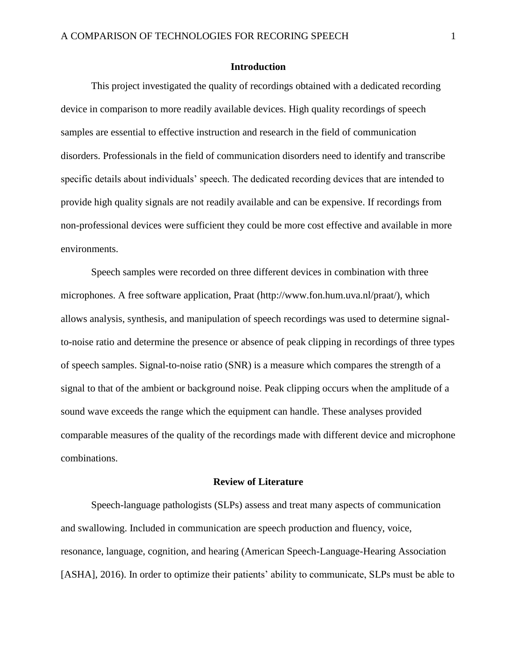#### **Introduction**

This project investigated the quality of recordings obtained with a dedicated recording device in comparison to more readily available devices. High quality recordings of speech samples are essential to effective instruction and research in the field of communication disorders. Professionals in the field of communication disorders need to identify and transcribe specific details about individuals' speech. The dedicated recording devices that are intended to provide high quality signals are not readily available and can be expensive. If recordings from non-professional devices were sufficient they could be more cost effective and available in more environments.

Speech samples were recorded on three different devices in combination with three microphones. A free software application, Praat (http://www.fon.hum.uva.nl/praat/), which allows analysis, synthesis, and manipulation of speech recordings was used to determine signalto-noise ratio and determine the presence or absence of peak clipping in recordings of three types of speech samples. Signal-to-noise ratio (SNR) is a measure which compares the strength of a signal to that of the ambient or background noise. Peak clipping occurs when the amplitude of a sound wave exceeds the range which the equipment can handle. These analyses provided comparable measures of the quality of the recordings made with different device and microphone combinations.

#### **Review of Literature**

Speech-language pathologists (SLPs) assess and treat many aspects of communication and swallowing. Included in communication are speech production and fluency, voice, resonance, language, cognition, and hearing (American Speech-Language-Hearing Association [ASHA], 2016). In order to optimize their patients' ability to communicate, SLPs must be able to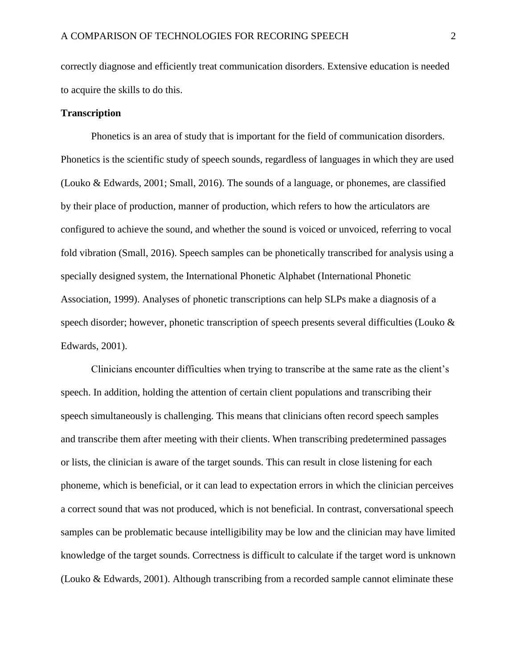correctly diagnose and efficiently treat communication disorders. Extensive education is needed to acquire the skills to do this.

#### **Transcription**

Phonetics is an area of study that is important for the field of communication disorders. Phonetics is the scientific study of speech sounds, regardless of languages in which they are used (Louko & Edwards, 2001; Small, 2016). The sounds of a language, or phonemes, are classified by their place of production, manner of production, which refers to how the articulators are configured to achieve the sound, and whether the sound is voiced or unvoiced, referring to vocal fold vibration (Small, 2016). Speech samples can be phonetically transcribed for analysis using a specially designed system, the International Phonetic Alphabet (International Phonetic Association, 1999). Analyses of phonetic transcriptions can help SLPs make a diagnosis of a speech disorder; however, phonetic transcription of speech presents several difficulties (Louko & Edwards, 2001).

Clinicians encounter difficulties when trying to transcribe at the same rate as the client's speech. In addition, holding the attention of certain client populations and transcribing their speech simultaneously is challenging. This means that clinicians often record speech samples and transcribe them after meeting with their clients. When transcribing predetermined passages or lists, the clinician is aware of the target sounds. This can result in close listening for each phoneme, which is beneficial, or it can lead to expectation errors in which the clinician perceives a correct sound that was not produced, which is not beneficial. In contrast, conversational speech samples can be problematic because intelligibility may be low and the clinician may have limited knowledge of the target sounds. Correctness is difficult to calculate if the target word is unknown (Louko & Edwards, 2001). Although transcribing from a recorded sample cannot eliminate these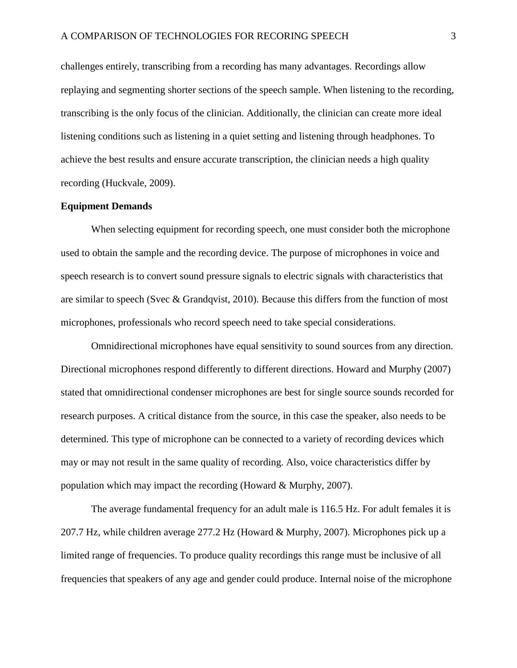challenges entirely, transcribing from a recording has many advantages. Recordings allow replaying and segmenting shorter sections of the speech sample. When listening to the recording, transcribing is the only focus of the clinician. Additionally, the clinician can create more ideal listening conditions such as listening in a quiet setting and listening through headphones. To achieve the best results and ensure accurate transcription, the clinician needs a high quality recording (Huckvale, 2009).

#### **Equipment Demands**

When selecting equipment for recording speech, one must consider both the microphone used to obtain the sample and the recording device. The purpose of microphones in voice and speech research is to convert sound pressure signals to electric signals with characteristics that are similar to speech (Svec & Grandqvist, 2010). Because this differs from the function of most microphones, professionals who record speech need to take special considerations.

Omnidirectional microphones have equal sensitivity to sound sources from any direction. Directional microphones respond differently to different directions. Howard and Murphy (2007) stated that omnidirectional condenser microphones are best for single source sounds recorded for research purposes. A critical distance from the source, in this case the speaker, also needs to be determined. This type of microphone can be connected to a variety of recording devices which may or may not result in the same quality of recording. Also, voice characteristics differ by population which may impact the recording (Howard & Murphy, 2007).

The average fundamental frequency for an adult male is 116.5 Hz. For adult females it is 207.7 Hz, while children average 277.2 Hz (Howard & Murphy, 2007). Microphones pick up a limited range of frequencies. To produce quality recordings this range must be inclusive of all frequencies that speakers of any age and gender could produce. Internal noise of the microphone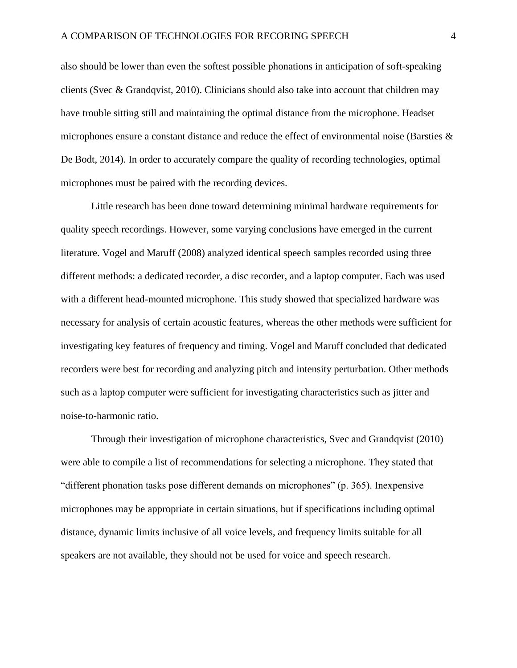also should be lower than even the softest possible phonations in anticipation of soft-speaking clients (Svec & Grandqvist, 2010). Clinicians should also take into account that children may have trouble sitting still and maintaining the optimal distance from the microphone. Headset microphones ensure a constant distance and reduce the effect of environmental noise (Barsties & De Bodt, 2014). In order to accurately compare the quality of recording technologies, optimal microphones must be paired with the recording devices.

Little research has been done toward determining minimal hardware requirements for quality speech recordings. However, some varying conclusions have emerged in the current literature. Vogel and Maruff (2008) analyzed identical speech samples recorded using three different methods: a dedicated recorder, a disc recorder, and a laptop computer. Each was used with a different head-mounted microphone. This study showed that specialized hardware was necessary for analysis of certain acoustic features, whereas the other methods were sufficient for investigating key features of frequency and timing. Vogel and Maruff concluded that dedicated recorders were best for recording and analyzing pitch and intensity perturbation. Other methods such as a laptop computer were sufficient for investigating characteristics such as jitter and noise-to-harmonic ratio.

Through their investigation of microphone characteristics, Svec and Grandqvist (2010) were able to compile a list of recommendations for selecting a microphone. They stated that "different phonation tasks pose different demands on microphones" (p. 365). Inexpensive microphones may be appropriate in certain situations, but if specifications including optimal distance, dynamic limits inclusive of all voice levels, and frequency limits suitable for all speakers are not available, they should not be used for voice and speech research.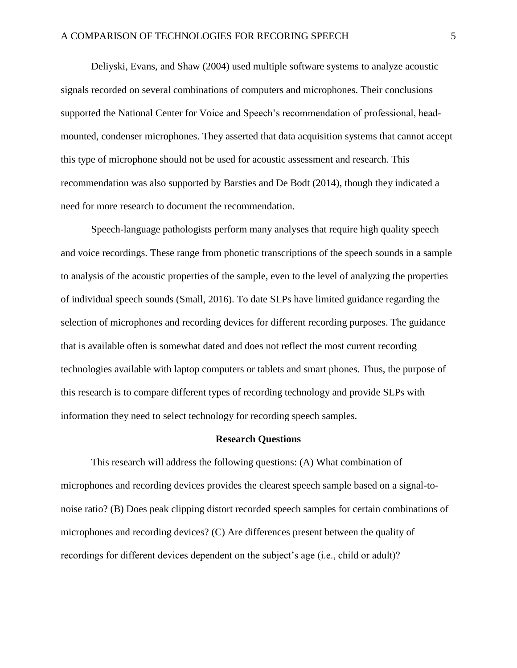Deliyski, Evans, and Shaw (2004) used multiple software systems to analyze acoustic signals recorded on several combinations of computers and microphones. Their conclusions supported the National Center for Voice and Speech's recommendation of professional, headmounted, condenser microphones. They asserted that data acquisition systems that cannot accept this type of microphone should not be used for acoustic assessment and research. This recommendation was also supported by Barsties and De Bodt (2014), though they indicated a need for more research to document the recommendation.

Speech-language pathologists perform many analyses that require high quality speech and voice recordings. These range from phonetic transcriptions of the speech sounds in a sample to analysis of the acoustic properties of the sample, even to the level of analyzing the properties of individual speech sounds (Small, 2016). To date SLPs have limited guidance regarding the selection of microphones and recording devices for different recording purposes. The guidance that is available often is somewhat dated and does not reflect the most current recording technologies available with laptop computers or tablets and smart phones. Thus, the purpose of this research is to compare different types of recording technology and provide SLPs with information they need to select technology for recording speech samples.

#### **Research Questions**

This research will address the following questions: (A) What combination of microphones and recording devices provides the clearest speech sample based on a signal-tonoise ratio? (B) Does peak clipping distort recorded speech samples for certain combinations of microphones and recording devices? (C) Are differences present between the quality of recordings for different devices dependent on the subject's age (i.e., child or adult)?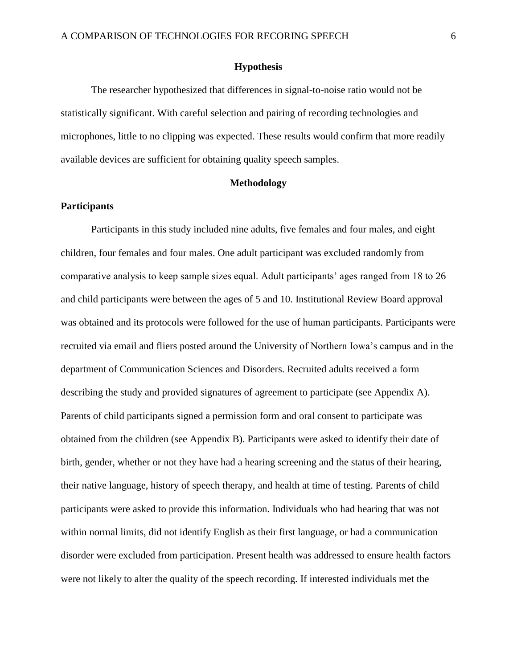#### **Hypothesis**

The researcher hypothesized that differences in signal-to-noise ratio would not be statistically significant. With careful selection and pairing of recording technologies and microphones, little to no clipping was expected. These results would confirm that more readily available devices are sufficient for obtaining quality speech samples.

#### **Methodology**

#### **Participants**

Participants in this study included nine adults, five females and four males, and eight children, four females and four males. One adult participant was excluded randomly from comparative analysis to keep sample sizes equal. Adult participants' ages ranged from 18 to 26 and child participants were between the ages of 5 and 10. Institutional Review Board approval was obtained and its protocols were followed for the use of human participants. Participants were recruited via email and fliers posted around the University of Northern Iowa's campus and in the department of Communication Sciences and Disorders. Recruited adults received a form describing the study and provided signatures of agreement to participate (see Appendix A). Parents of child participants signed a permission form and oral consent to participate was obtained from the children (see Appendix B). Participants were asked to identify their date of birth, gender, whether or not they have had a hearing screening and the status of their hearing, their native language, history of speech therapy, and health at time of testing. Parents of child participants were asked to provide this information. Individuals who had hearing that was not within normal limits, did not identify English as their first language, or had a communication disorder were excluded from participation. Present health was addressed to ensure health factors were not likely to alter the quality of the speech recording. If interested individuals met the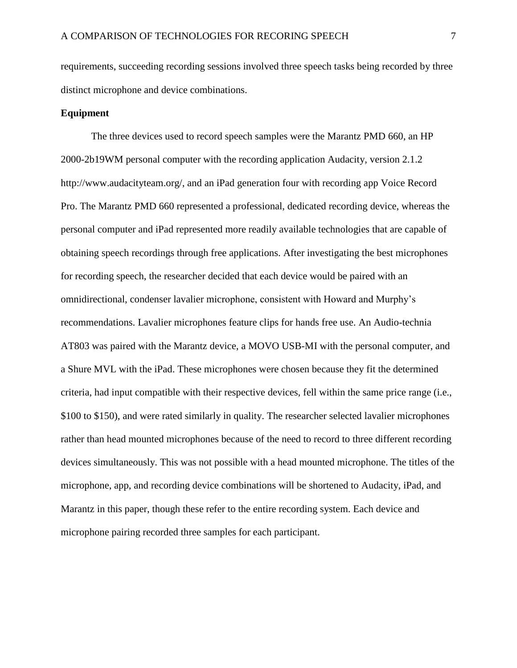requirements, succeeding recording sessions involved three speech tasks being recorded by three distinct microphone and device combinations.

#### **Equipment**

The three devices used to record speech samples were the Marantz PMD 660, an HP 2000-2b19WM personal computer with the recording application Audacity, version 2.1.2 http://www.audacityteam.org/, and an iPad generation four with recording app Voice Record Pro. The Marantz PMD 660 represented a professional, dedicated recording device, whereas the personal computer and iPad represented more readily available technologies that are capable of obtaining speech recordings through free applications. After investigating the best microphones for recording speech, the researcher decided that each device would be paired with an omnidirectional, condenser lavalier microphone, consistent with Howard and Murphy's recommendations. Lavalier microphones feature clips for hands free use. An Audio-technia AT803 was paired with the Marantz device, a MOVO USB-MI with the personal computer, and a Shure MVL with the iPad. These microphones were chosen because they fit the determined criteria, had input compatible with their respective devices, fell within the same price range (i.e., \$100 to \$150), and were rated similarly in quality. The researcher selected lavalier microphones rather than head mounted microphones because of the need to record to three different recording devices simultaneously. This was not possible with a head mounted microphone. The titles of the microphone, app, and recording device combinations will be shortened to Audacity, iPad, and Marantz in this paper, though these refer to the entire recording system. Each device and microphone pairing recorded three samples for each participant.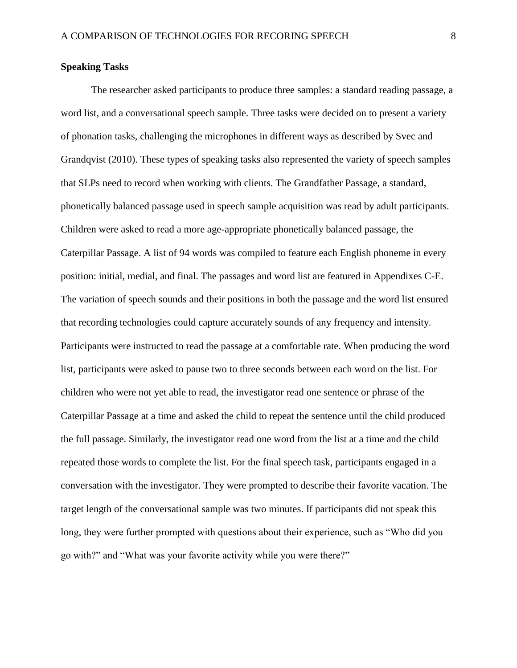#### **Speaking Tasks**

The researcher asked participants to produce three samples: a standard reading passage, a word list, and a conversational speech sample. Three tasks were decided on to present a variety of phonation tasks, challenging the microphones in different ways as described by Svec and Grandqvist (2010). These types of speaking tasks also represented the variety of speech samples that SLPs need to record when working with clients. The Grandfather Passage, a standard, phonetically balanced passage used in speech sample acquisition was read by adult participants. Children were asked to read a more age-appropriate phonetically balanced passage, the Caterpillar Passage. A list of 94 words was compiled to feature each English phoneme in every position: initial, medial, and final. The passages and word list are featured in Appendixes C-E. The variation of speech sounds and their positions in both the passage and the word list ensured that recording technologies could capture accurately sounds of any frequency and intensity. Participants were instructed to read the passage at a comfortable rate. When producing the word list, participants were asked to pause two to three seconds between each word on the list. For children who were not yet able to read, the investigator read one sentence or phrase of the Caterpillar Passage at a time and asked the child to repeat the sentence until the child produced the full passage. Similarly, the investigator read one word from the list at a time and the child repeated those words to complete the list. For the final speech task, participants engaged in a conversation with the investigator. They were prompted to describe their favorite vacation. The target length of the conversational sample was two minutes. If participants did not speak this long, they were further prompted with questions about their experience, such as "Who did you go with?" and "What was your favorite activity while you were there?"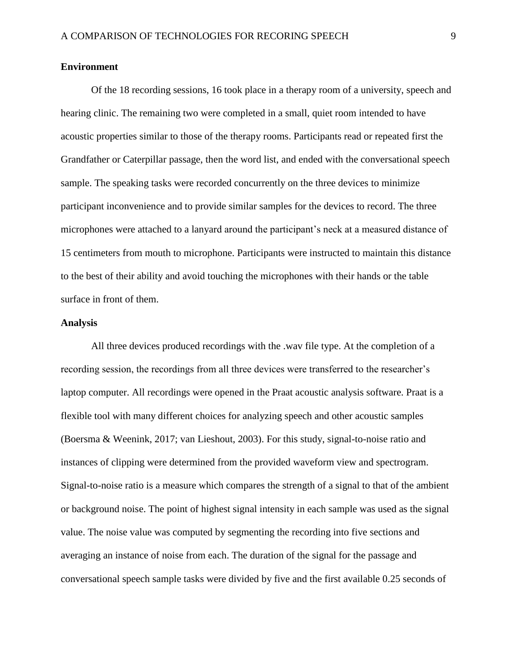#### **Environment**

Of the 18 recording sessions, 16 took place in a therapy room of a university, speech and hearing clinic. The remaining two were completed in a small, quiet room intended to have acoustic properties similar to those of the therapy rooms. Participants read or repeated first the Grandfather or Caterpillar passage, then the word list, and ended with the conversational speech sample. The speaking tasks were recorded concurrently on the three devices to minimize participant inconvenience and to provide similar samples for the devices to record. The three microphones were attached to a lanyard around the participant's neck at a measured distance of 15 centimeters from mouth to microphone. Participants were instructed to maintain this distance to the best of their ability and avoid touching the microphones with their hands or the table surface in front of them.

#### **Analysis**

All three devices produced recordings with the .wav file type. At the completion of a recording session, the recordings from all three devices were transferred to the researcher's laptop computer. All recordings were opened in the Praat acoustic analysis software. Praat is a flexible tool with many different choices for analyzing speech and other acoustic samples (Boersma & Weenink, 2017; van Lieshout, 2003). For this study, signal-to-noise ratio and instances of clipping were determined from the provided waveform view and spectrogram. Signal-to-noise ratio is a measure which compares the strength of a signal to that of the ambient or background noise. The point of highest signal intensity in each sample was used as the signal value. The noise value was computed by segmenting the recording into five sections and averaging an instance of noise from each. The duration of the signal for the passage and conversational speech sample tasks were divided by five and the first available 0.25 seconds of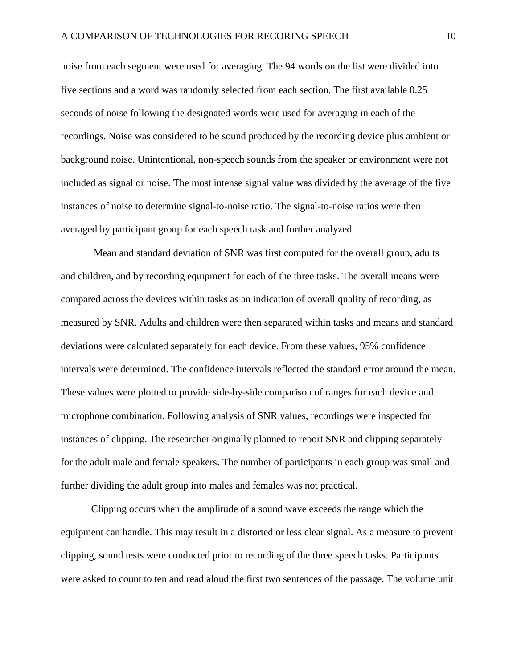noise from each segment were used for averaging. The 94 words on the list were divided into five sections and a word was randomly selected from each section. The first available 0.25 seconds of noise following the designated words were used for averaging in each of the recordings. Noise was considered to be sound produced by the recording device plus ambient or background noise. Unintentional, non-speech sounds from the speaker or environment were not included as signal or noise. The most intense signal value was divided by the average of the five instances of noise to determine signal-to-noise ratio. The signal-to-noise ratios were then averaged by participant group for each speech task and further analyzed.

Mean and standard deviation of SNR was first computed for the overall group, adults and children, and by recording equipment for each of the three tasks. The overall means were compared across the devices within tasks as an indication of overall quality of recording, as measured by SNR. Adults and children were then separated within tasks and means and standard deviations were calculated separately for each device. From these values, 95% confidence intervals were determined. The confidence intervals reflected the standard error around the mean. These values were plotted to provide side-by-side comparison of ranges for each device and microphone combination. Following analysis of SNR values, recordings were inspected for instances of clipping. The researcher originally planned to report SNR and clipping separately for the adult male and female speakers. The number of participants in each group was small and further dividing the adult group into males and females was not practical.

Clipping occurs when the amplitude of a sound wave exceeds the range which the equipment can handle. This may result in a distorted or less clear signal. As a measure to prevent clipping, sound tests were conducted prior to recording of the three speech tasks. Participants were asked to count to ten and read aloud the first two sentences of the passage. The volume unit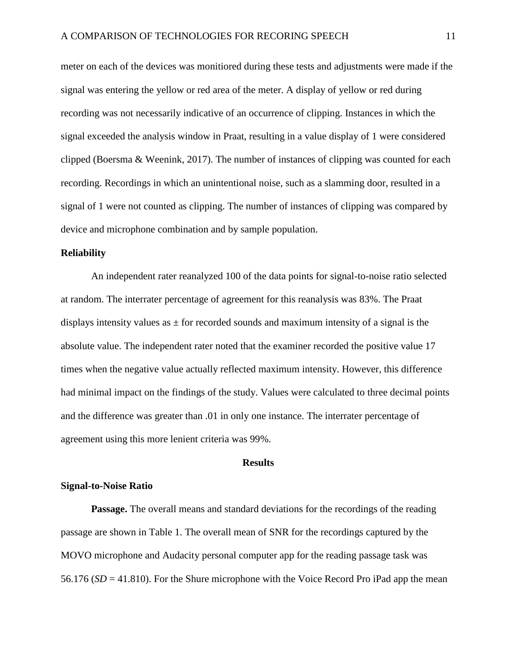meter on each of the devices was monitiored during these tests and adjustments were made if the signal was entering the yellow or red area of the meter. A display of yellow or red during recording was not necessarily indicative of an occurrence of clipping. Instances in which the signal exceeded the analysis window in Praat, resulting in a value display of 1 were considered clipped (Boersma & Weenink, 2017). The number of instances of clipping was counted for each recording. Recordings in which an unintentional noise, such as a slamming door, resulted in a signal of 1 were not counted as clipping. The number of instances of clipping was compared by device and microphone combination and by sample population.

#### **Reliability**

An independent rater reanalyzed 100 of the data points for signal-to-noise ratio selected at random. The interrater percentage of agreement for this reanalysis was 83%. The Praat displays intensity values as  $\pm$  for recorded sounds and maximum intensity of a signal is the absolute value. The independent rater noted that the examiner recorded the positive value 17 times when the negative value actually reflected maximum intensity. However, this difference had minimal impact on the findings of the study. Values were calculated to three decimal points and the difference was greater than .01 in only one instance. The interrater percentage of agreement using this more lenient criteria was 99%.

#### **Results**

#### **Signal-to-Noise Ratio**

**Passage.** The overall means and standard deviations for the recordings of the reading passage are shown in Table 1. The overall mean of SNR for the recordings captured by the MOVO microphone and Audacity personal computer app for the reading passage task was 56.176 (*SD* = 41.810). For the Shure microphone with the Voice Record Pro iPad app the mean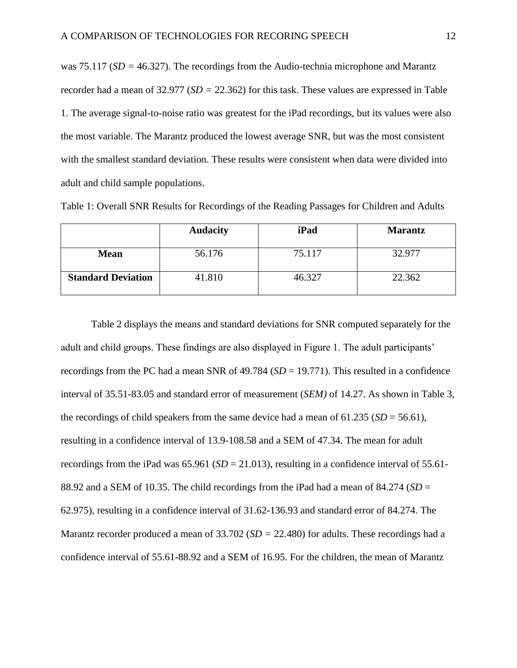was 75.117 (*SD =* 46.327). The recordings from the Audio-technia microphone and Marantz recorder had a mean of 32.977 (*SD =* 22.362) for this task. These values are expressed in Table 1. The average signal-to-noise ratio was greatest for the iPad recordings, but its values were also the most variable. The Marantz produced the lowest average SNR, but was the most consistent with the smallest standard deviation. These results were consistent when data were divided into adult and child sample populations.

|                           | <b>Audacity</b> | iPad   | <b>Marantz</b> |
|---------------------------|-----------------|--------|----------------|
| <b>Mean</b>               | 56.176          | 75.117 | 32.977         |
| <b>Standard Deviation</b> | 41.810          | 46.327 | 22.362         |

Table 1: Overall SNR Results for Recordings of the Reading Passages for Children and Adults

Table 2 displays the means and standard deviations for SNR computed separately for the adult and child groups. These findings are also displayed in Figure 1. The adult participants' recordings from the PC had a mean SNR of 49.784 (*SD* = 19.771). This resulted in a confidence interval of 35.51-83.05 and standard error of measurement (*SEM)* of 14.27. As shown in Table 3, the recordings of child speakers from the same device had a mean of  $61.235$  ( $SD = 56.61$ ), resulting in a confidence interval of 13.9-108.58 and a SEM of 47.34. The mean for adult recordings from the iPad was  $65.961$  ( $SD = 21.013$ ), resulting in a confidence interval of  $55.61$ -88.92 and a SEM of 10.35. The child recordings from the iPad had a mean of 84.274 (*SD* = 62.975), resulting in a confidence interval of 31.62-136.93 and standard error of 84.274. The Marantz recorder produced a mean of 33.702 (*SD =* 22.480) for adults. These recordings had a confidence interval of 55.61-88.92 and a SEM of 16.95. For the children, the mean of Marantz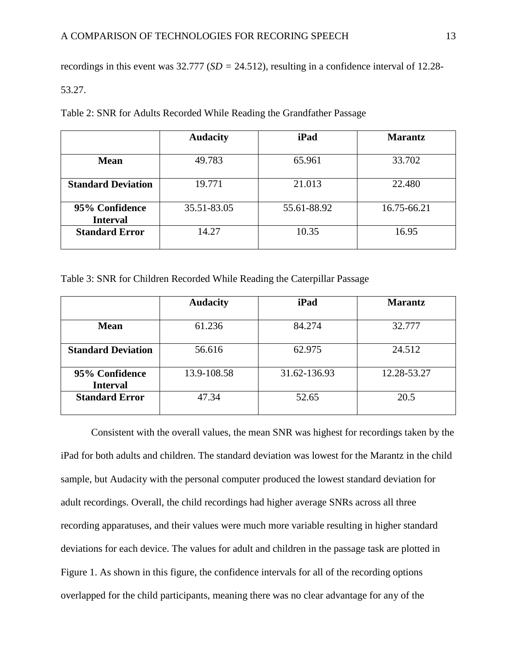recordings in this event was 32.777 (*SD =* 24.512), resulting in a confidence interval of 12.28-

#### 53.27.

Table 2: SNR for Adults Recorded While Reading the Grandfather Passage

|                                   | <b>Audacity</b> | iPad        | <b>Marantz</b> |
|-----------------------------------|-----------------|-------------|----------------|
| <b>Mean</b>                       | 49.783          | 65.961      | 33.702         |
| <b>Standard Deviation</b>         | 19.771          | 21.013      | 22.480         |
| 95% Confidence<br><b>Interval</b> | 35.51-83.05     | 55.61-88.92 | 16.75-66.21    |
| <b>Standard Error</b>             | 14.27           | 10.35       | 16.95          |

Table 3: SNR for Children Recorded While Reading the Caterpillar Passage

|                                   | <b>Audacity</b> | iPad         | <b>Marantz</b> |
|-----------------------------------|-----------------|--------------|----------------|
| <b>Mean</b>                       | 61.236          | 84.274       | 32.777         |
| <b>Standard Deviation</b>         | 56.616          | 62.975       | 24.512         |
| 95% Confidence<br><b>Interval</b> | 13.9-108.58     | 31.62-136.93 | 12.28-53.27    |
| <b>Standard Error</b>             | 47.34           | 52.65        | 20.5           |

Consistent with the overall values, the mean SNR was highest for recordings taken by the iPad for both adults and children. The standard deviation was lowest for the Marantz in the child sample, but Audacity with the personal computer produced the lowest standard deviation for adult recordings. Overall, the child recordings had higher average SNRs across all three recording apparatuses, and their values were much more variable resulting in higher standard deviations for each device. The values for adult and children in the passage task are plotted in Figure 1. As shown in this figure, the confidence intervals for all of the recording options overlapped for the child participants, meaning there was no clear advantage for any of the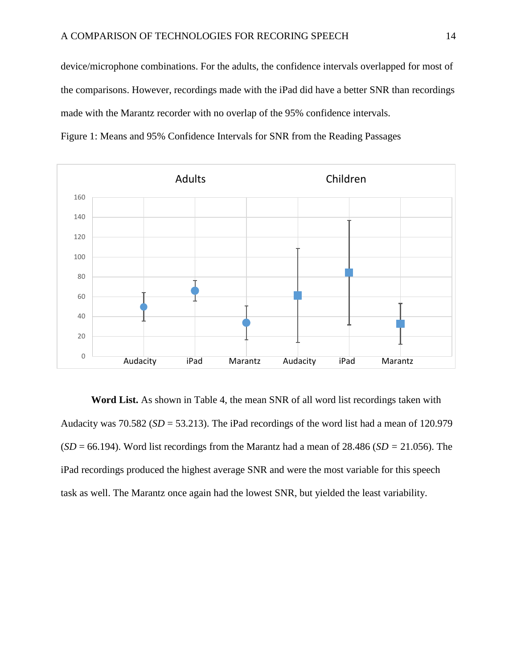device/microphone combinations. For the adults, the confidence intervals overlapped for most of the comparisons. However, recordings made with the iPad did have a better SNR than recordings made with the Marantz recorder with no overlap of the 95% confidence intervals.



Figure 1: Means and 95% Confidence Intervals for SNR from the Reading Passages

**Word List.** As shown in Table 4, the mean SNR of all word list recordings taken with Audacity was  $70.582$  ( $SD = 53.213$ ). The iPad recordings of the word list had a mean of 120.979 (*SD* = 66.194). Word list recordings from the Marantz had a mean of 28.486 (*SD =* 21.056). The iPad recordings produced the highest average SNR and were the most variable for this speech task as well. The Marantz once again had the lowest SNR, but yielded the least variability.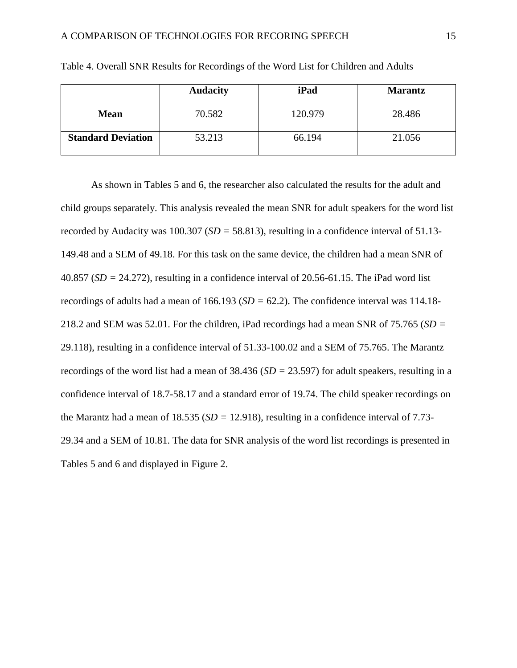|                           | <b>Audacity</b> | iPad    | <b>Marantz</b> |
|---------------------------|-----------------|---------|----------------|
| <b>Mean</b>               | 70.582          | 120.979 | 28.486         |
| <b>Standard Deviation</b> | 53.213          | 66.194  | 21.056         |

Table 4. Overall SNR Results for Recordings of the Word List for Children and Adults

As shown in Tables 5 and 6, the researcher also calculated the results for the adult and child groups separately. This analysis revealed the mean SNR for adult speakers for the word list recorded by Audacity was 100.307 (*SD =* 58.813), resulting in a confidence interval of 51.13- 149.48 and a SEM of 49.18. For this task on the same device, the children had a mean SNR of 40.857 (*SD =* 24.272), resulting in a confidence interval of 20.56-61.15. The iPad word list recordings of adults had a mean of 166.193 (*SD =* 62.2). The confidence interval was 114.18- 218.2 and SEM was 52.01. For the children, iPad recordings had a mean SNR of 75.765 (*SD =* 29.118), resulting in a confidence interval of 51.33-100.02 and a SEM of 75.765. The Marantz recordings of the word list had a mean of 38.436 (*SD =* 23.597) for adult speakers, resulting in a confidence interval of 18.7-58.17 and a standard error of 19.74. The child speaker recordings on the Marantz had a mean of 18.535 (*SD =* 12.918), resulting in a confidence interval of 7.73- 29.34 and a SEM of 10.81. The data for SNR analysis of the word list recordings is presented in Tables 5 and 6 and displayed in Figure 2.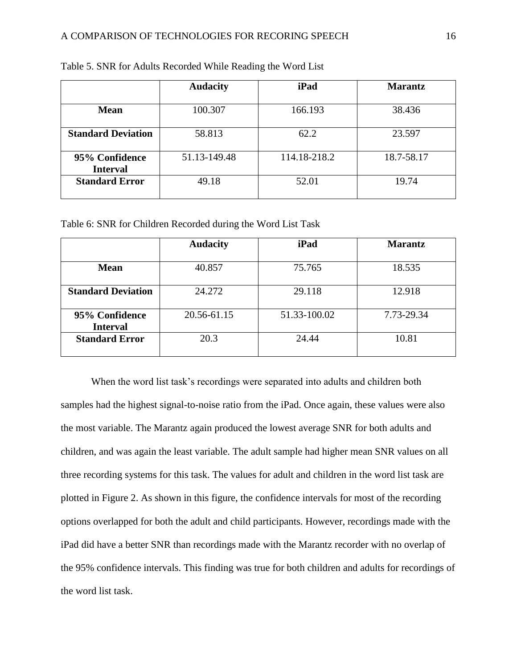|                                   | <b>Audacity</b> | iPad         | <b>Marantz</b> |
|-----------------------------------|-----------------|--------------|----------------|
| <b>Mean</b>                       | 100.307         | 166.193      | 38.436         |
| <b>Standard Deviation</b>         | 58.813          | 62.2         | 23.597         |
| 95% Confidence<br><b>Interval</b> | 51.13-149.48    | 114.18-218.2 | 18.7-58.17     |
| <b>Standard Error</b>             | 49.18           | 52.01        | 19.74          |

Table 5. SNR for Adults Recorded While Reading the Word List

Table 6: SNR for Children Recorded during the Word List Task

|                                   | <b>Audacity</b> | iPad         | <b>Marantz</b> |
|-----------------------------------|-----------------|--------------|----------------|
| <b>Mean</b>                       | 40.857          | 75.765       | 18.535         |
|                                   |                 |              |                |
| <b>Standard Deviation</b>         | 24.272          | 29.118       | 12.918         |
| 95% Confidence<br><b>Interval</b> | 20.56-61.15     | 51.33-100.02 | 7.73-29.34     |
| <b>Standard Error</b>             | 20.3            | 24.44        | 10.81          |

When the word list task's recordings were separated into adults and children both samples had the highest signal-to-noise ratio from the iPad. Once again, these values were also the most variable. The Marantz again produced the lowest average SNR for both adults and children, and was again the least variable. The adult sample had higher mean SNR values on all three recording systems for this task. The values for adult and children in the word list task are plotted in Figure 2. As shown in this figure, the confidence intervals for most of the recording options overlapped for both the adult and child participants. However, recordings made with the iPad did have a better SNR than recordings made with the Marantz recorder with no overlap of the 95% confidence intervals. This finding was true for both children and adults for recordings of the word list task.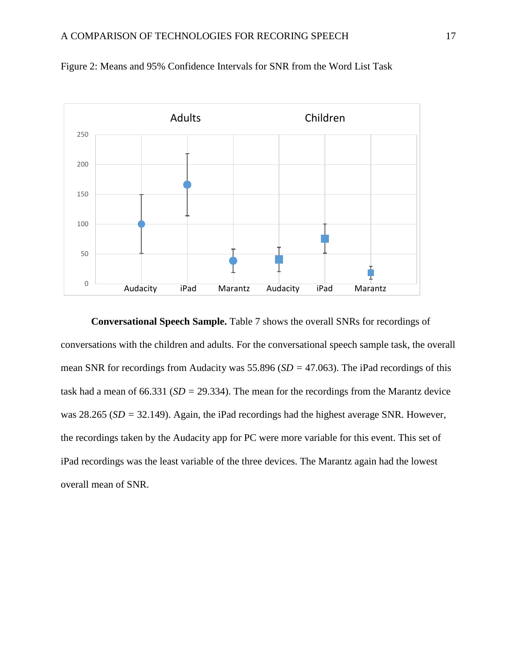

Figure 2: Means and 95% Confidence Intervals for SNR from the Word List Task

**Conversational Speech Sample.** Table 7 shows the overall SNRs for recordings of conversations with the children and adults. For the conversational speech sample task, the overall mean SNR for recordings from Audacity was 55.896 (*SD =* 47.063). The iPad recordings of this task had a mean of 66.331 (*SD =* 29.334). The mean for the recordings from the Marantz device was 28.265 (*SD =* 32.149). Again, the iPad recordings had the highest average SNR. However, the recordings taken by the Audacity app for PC were more variable for this event. This set of iPad recordings was the least variable of the three devices. The Marantz again had the lowest overall mean of SNR.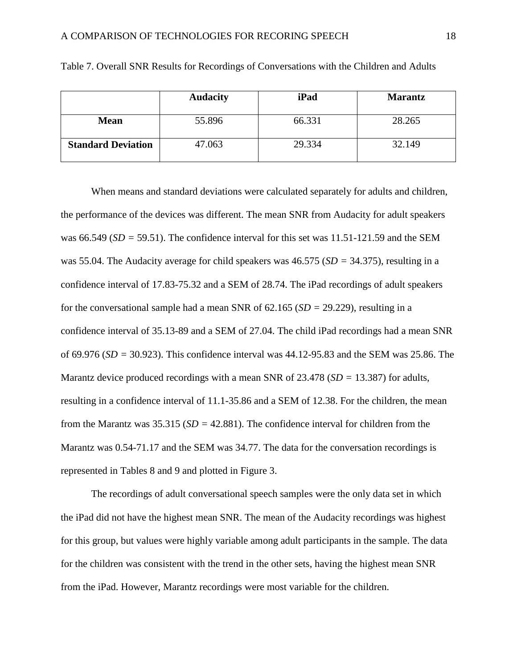|                           | <b>Audacity</b> | iPad   | <b>Marantz</b> |
|---------------------------|-----------------|--------|----------------|
| <b>Mean</b>               | 55.896          | 66.331 | 28.265         |
| <b>Standard Deviation</b> | 47.063          | 29.334 | 32.149         |

Table 7. Overall SNR Results for Recordings of Conversations with the Children and Adults

When means and standard deviations were calculated separately for adults and children, the performance of the devices was different. The mean SNR from Audacity for adult speakers was 66.549 (*SD =* 59.51). The confidence interval for this set was 11.51-121.59 and the SEM was 55.04. The Audacity average for child speakers was 46.575 (*SD =* 34.375), resulting in a confidence interval of 17.83-75.32 and a SEM of 28.74. The iPad recordings of adult speakers for the conversational sample had a mean SNR of 62.165 (*SD =* 29.229), resulting in a confidence interval of 35.13-89 and a SEM of 27.04. The child iPad recordings had a mean SNR of 69.976 (*SD =* 30.923). This confidence interval was 44.12-95.83 and the SEM was 25.86. The Marantz device produced recordings with a mean SNR of 23.478 (*SD =* 13.387) for adults, resulting in a confidence interval of 11.1-35.86 and a SEM of 12.38. For the children, the mean from the Marantz was 35.315 (*SD =* 42.881). The confidence interval for children from the Marantz was 0.54-71.17 and the SEM was 34.77. The data for the conversation recordings is represented in Tables 8 and 9 and plotted in Figure 3.

The recordings of adult conversational speech samples were the only data set in which the iPad did not have the highest mean SNR. The mean of the Audacity recordings was highest for this group, but values were highly variable among adult participants in the sample. The data for the children was consistent with the trend in the other sets, having the highest mean SNR from the iPad. However, Marantz recordings were most variable for the children.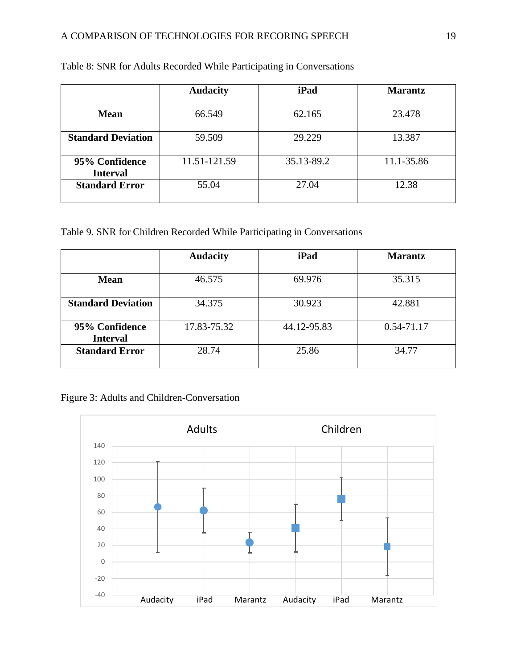|                           | <b>Audacity</b> | iPad       | <b>Marantz</b> |
|---------------------------|-----------------|------------|----------------|
|                           |                 |            |                |
| <b>Mean</b>               | 66.549          | 62.165     | 23.478         |
|                           |                 |            |                |
| <b>Standard Deviation</b> | 59.509          | 29.229     | 13.387         |
| 95% Confidence            | 11.51-121.59    | 35.13-89.2 | 11.1-35.86     |
| <b>Interval</b>           |                 |            |                |
| <b>Standard Error</b>     | 55.04           | 27.04      | 12.38          |
|                           |                 |            |                |

## Table 8: SNR for Adults Recorded While Participating in Conversations

## Table 9. SNR for Children Recorded While Participating in Conversations

|                                   | <b>Audacity</b> | iPad        | <b>Marantz</b> |
|-----------------------------------|-----------------|-------------|----------------|
| <b>Mean</b>                       | 46.575          | 69.976      | 35.315         |
| <b>Standard Deviation</b>         | 34.375          | 30.923      | 42.881         |
| 95% Confidence<br><b>Interval</b> | 17.83-75.32     | 44.12-95.83 | 0.54-71.17     |
| <b>Standard Error</b>             | 28.74           | 25.86       | 34.77          |

## Figure 3: Adults and Children-Conversation

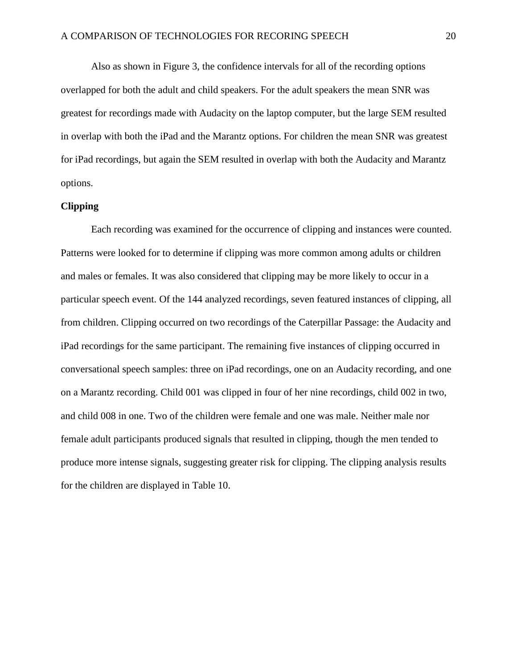Also as shown in Figure 3, the confidence intervals for all of the recording options overlapped for both the adult and child speakers. For the adult speakers the mean SNR was greatest for recordings made with Audacity on the laptop computer, but the large SEM resulted in overlap with both the iPad and the Marantz options. For children the mean SNR was greatest for iPad recordings, but again the SEM resulted in overlap with both the Audacity and Marantz options.

#### **Clipping**

Each recording was examined for the occurrence of clipping and instances were counted. Patterns were looked for to determine if clipping was more common among adults or children and males or females. It was also considered that clipping may be more likely to occur in a particular speech event. Of the 144 analyzed recordings, seven featured instances of clipping, all from children. Clipping occurred on two recordings of the Caterpillar Passage: the Audacity and iPad recordings for the same participant. The remaining five instances of clipping occurred in conversational speech samples: three on iPad recordings, one on an Audacity recording, and one on a Marantz recording. Child 001 was clipped in four of her nine recordings, child 002 in two, and child 008 in one. Two of the children were female and one was male. Neither male nor female adult participants produced signals that resulted in clipping, though the men tended to produce more intense signals, suggesting greater risk for clipping. The clipping analysis results for the children are displayed in Table 10.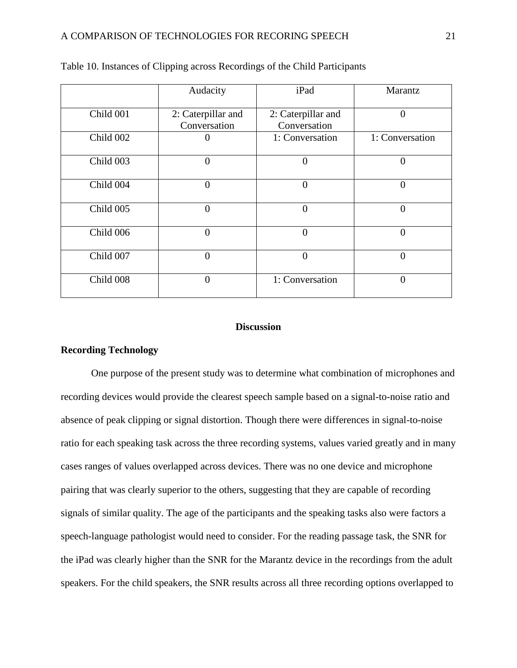|           | Audacity                           | iPad                               | Marantz         |
|-----------|------------------------------------|------------------------------------|-----------------|
| Child 001 | 2: Caterpillar and<br>Conversation | 2: Caterpillar and<br>Conversation | $\theta$        |
| Child 002 |                                    | 1: Conversation                    | 1: Conversation |
| Child 003 | $\overline{0}$                     | $\overline{0}$                     | $\overline{0}$  |
| Child 004 | 0                                  | $\theta$                           | $\overline{0}$  |
| Child 005 | $\overline{0}$                     | $\theta$                           | $\overline{0}$  |
| Child 006 | $\overline{0}$                     | $\overline{0}$                     | $\overline{0}$  |
| Child 007 | $\theta$                           | $\theta$                           | $\theta$        |
| Child 008 | 0                                  | 1: Conversation                    | $\theta$        |

|  |  | Table 10. Instances of Clipping across Recordings of the Child Participants |
|--|--|-----------------------------------------------------------------------------|
|  |  |                                                                             |

#### **Discussion**

#### **Recording Technology**

One purpose of the present study was to determine what combination of microphones and recording devices would provide the clearest speech sample based on a signal-to-noise ratio and absence of peak clipping or signal distortion. Though there were differences in signal-to-noise ratio for each speaking task across the three recording systems, values varied greatly and in many cases ranges of values overlapped across devices. There was no one device and microphone pairing that was clearly superior to the others, suggesting that they are capable of recording signals of similar quality. The age of the participants and the speaking tasks also were factors a speech-language pathologist would need to consider. For the reading passage task, the SNR for the iPad was clearly higher than the SNR for the Marantz device in the recordings from the adult speakers. For the child speakers, the SNR results across all three recording options overlapped to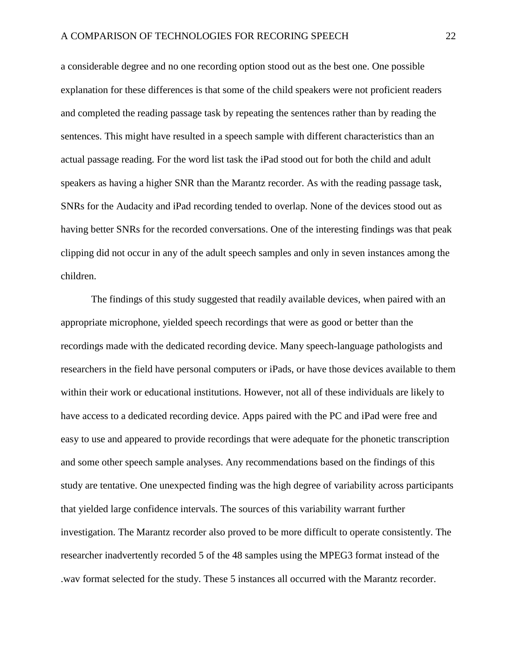a considerable degree and no one recording option stood out as the best one. One possible explanation for these differences is that some of the child speakers were not proficient readers and completed the reading passage task by repeating the sentences rather than by reading the sentences. This might have resulted in a speech sample with different characteristics than an actual passage reading. For the word list task the iPad stood out for both the child and adult speakers as having a higher SNR than the Marantz recorder. As with the reading passage task, SNRs for the Audacity and iPad recording tended to overlap. None of the devices stood out as having better SNRs for the recorded conversations. One of the interesting findings was that peak clipping did not occur in any of the adult speech samples and only in seven instances among the children.

The findings of this study suggested that readily available devices, when paired with an appropriate microphone, yielded speech recordings that were as good or better than the recordings made with the dedicated recording device. Many speech-language pathologists and researchers in the field have personal computers or iPads, or have those devices available to them within their work or educational institutions. However, not all of these individuals are likely to have access to a dedicated recording device. Apps paired with the PC and iPad were free and easy to use and appeared to provide recordings that were adequate for the phonetic transcription and some other speech sample analyses. Any recommendations based on the findings of this study are tentative. One unexpected finding was the high degree of variability across participants that yielded large confidence intervals. The sources of this variability warrant further investigation. The Marantz recorder also proved to be more difficult to operate consistently. The researcher inadvertently recorded 5 of the 48 samples using the MPEG3 format instead of the .wav format selected for the study. These 5 instances all occurred with the Marantz recorder.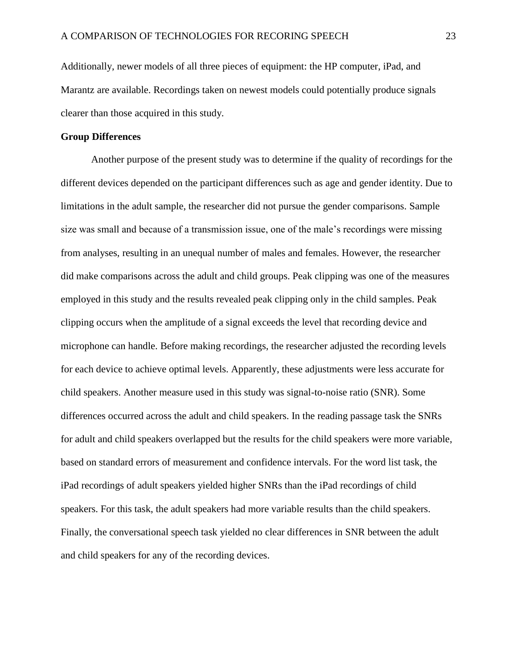Additionally, newer models of all three pieces of equipment: the HP computer, iPad, and Marantz are available. Recordings taken on newest models could potentially produce signals clearer than those acquired in this study.

#### **Group Differences**

Another purpose of the present study was to determine if the quality of recordings for the different devices depended on the participant differences such as age and gender identity. Due to limitations in the adult sample, the researcher did not pursue the gender comparisons. Sample size was small and because of a transmission issue, one of the male's recordings were missing from analyses, resulting in an unequal number of males and females. However, the researcher did make comparisons across the adult and child groups. Peak clipping was one of the measures employed in this study and the results revealed peak clipping only in the child samples. Peak clipping occurs when the amplitude of a signal exceeds the level that recording device and microphone can handle. Before making recordings, the researcher adjusted the recording levels for each device to achieve optimal levels. Apparently, these adjustments were less accurate for child speakers. Another measure used in this study was signal-to-noise ratio (SNR). Some differences occurred across the adult and child speakers. In the reading passage task the SNRs for adult and child speakers overlapped but the results for the child speakers were more variable, based on standard errors of measurement and confidence intervals. For the word list task, the iPad recordings of adult speakers yielded higher SNRs than the iPad recordings of child speakers. For this task, the adult speakers had more variable results than the child speakers. Finally, the conversational speech task yielded no clear differences in SNR between the adult and child speakers for any of the recording devices.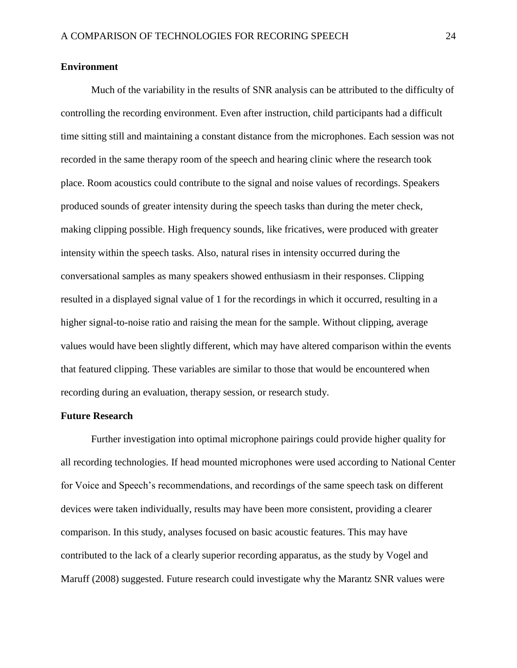#### **Environment**

Much of the variability in the results of SNR analysis can be attributed to the difficulty of controlling the recording environment. Even after instruction, child participants had a difficult time sitting still and maintaining a constant distance from the microphones. Each session was not recorded in the same therapy room of the speech and hearing clinic where the research took place. Room acoustics could contribute to the signal and noise values of recordings. Speakers produced sounds of greater intensity during the speech tasks than during the meter check, making clipping possible. High frequency sounds, like fricatives, were produced with greater intensity within the speech tasks. Also, natural rises in intensity occurred during the conversational samples as many speakers showed enthusiasm in their responses. Clipping resulted in a displayed signal value of 1 for the recordings in which it occurred, resulting in a higher signal-to-noise ratio and raising the mean for the sample. Without clipping, average values would have been slightly different, which may have altered comparison within the events that featured clipping. These variables are similar to those that would be encountered when recording during an evaluation, therapy session, or research study.

#### **Future Research**

Further investigation into optimal microphone pairings could provide higher quality for all recording technologies. If head mounted microphones were used according to National Center for Voice and Speech's recommendations, and recordings of the same speech task on different devices were taken individually, results may have been more consistent, providing a clearer comparison. In this study, analyses focused on basic acoustic features. This may have contributed to the lack of a clearly superior recording apparatus, as the study by Vogel and Maruff (2008) suggested. Future research could investigate why the Marantz SNR values were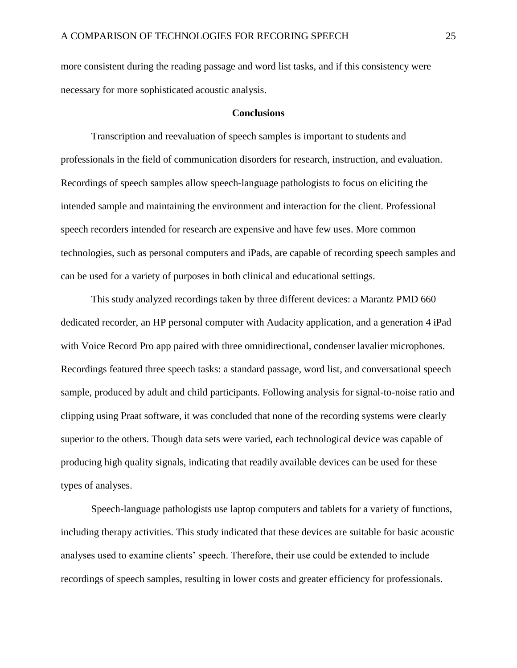more consistent during the reading passage and word list tasks, and if this consistency were necessary for more sophisticated acoustic analysis.

#### **Conclusions**

Transcription and reevaluation of speech samples is important to students and professionals in the field of communication disorders for research, instruction, and evaluation. Recordings of speech samples allow speech-language pathologists to focus on eliciting the intended sample and maintaining the environment and interaction for the client. Professional speech recorders intended for research are expensive and have few uses. More common technologies, such as personal computers and iPads, are capable of recording speech samples and can be used for a variety of purposes in both clinical and educational settings.

This study analyzed recordings taken by three different devices: a Marantz PMD 660 dedicated recorder, an HP personal computer with Audacity application, and a generation 4 iPad with Voice Record Pro app paired with three omnidirectional, condenser lavalier microphones. Recordings featured three speech tasks: a standard passage, word list, and conversational speech sample, produced by adult and child participants. Following analysis for signal-to-noise ratio and clipping using Praat software, it was concluded that none of the recording systems were clearly superior to the others. Though data sets were varied, each technological device was capable of producing high quality signals, indicating that readily available devices can be used for these types of analyses.

Speech-language pathologists use laptop computers and tablets for a variety of functions, including therapy activities. This study indicated that these devices are suitable for basic acoustic analyses used to examine clients' speech. Therefore, their use could be extended to include recordings of speech samples, resulting in lower costs and greater efficiency for professionals.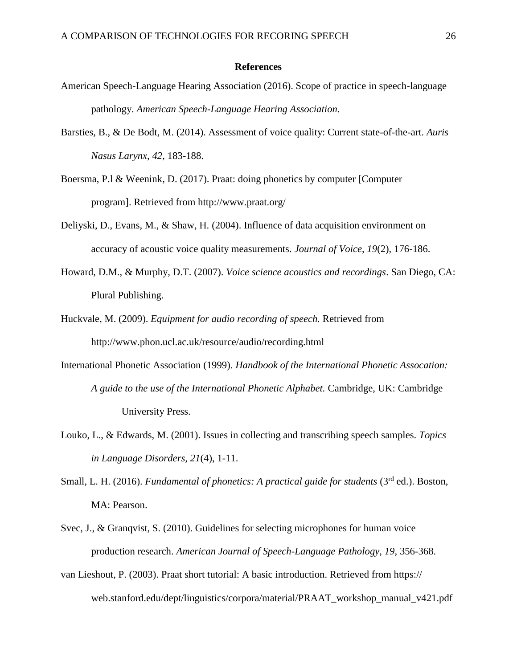#### **References**

- American Speech-Language Hearing Association (2016). Scope of practice in speech-language pathology. *American Speech-Language Hearing Association.*
- Barsties, B., & De Bodt, M. (2014). Assessment of voice quality: Current state-of-the-art. *Auris Nasus Larynx, 42*, 183-188.
- Boersma, P.l & Weenink, D. (2017). Praat: doing phonetics by computer [Computer program]. Retrieved from http://www.praat.org/
- Deliyski, D., Evans, M., & Shaw, H. (2004). Influence of data acquisition environment on accuracy of acoustic voice quality measurements. *Journal of Voice, 19*(2), 176-186.
- Howard, D.M., & Murphy, D.T. (2007). *Voice science acoustics and recordings*. San Diego, CA: Plural Publishing.
- Huckvale, M. (2009). *Equipment for audio recording of speech.* Retrieved from http://www.phon.ucl.ac.uk/resource/audio/recording.html
- International Phonetic Association (1999). *Handbook of the International Phonetic Assocation: A guide to the use of the International Phonetic Alphabet.* Cambridge, UK: Cambridge University Press.
- Louko, L., & Edwards, M. (2001). Issues in collecting and transcribing speech samples. *Topics in Language Disorders, 21*(4), 1-11.
- Small, L. H. (2016). *Fundamental of phonetics: A practical guide for students* (3<sup>rd</sup> ed.). Boston. MA: Pearson.
- Svec, J., & Granqvist, S. (2010). Guidelines for selecting microphones for human voice production research. *American Journal of Speech-Language Pathology, 19*, 356-368.
- van Lieshout, P. (2003). Praat short tutorial: A basic introduction. Retrieved from https:// web.stanford.edu/dept/linguistics/corpora/material/PRAAT\_workshop\_manual\_v421.pdf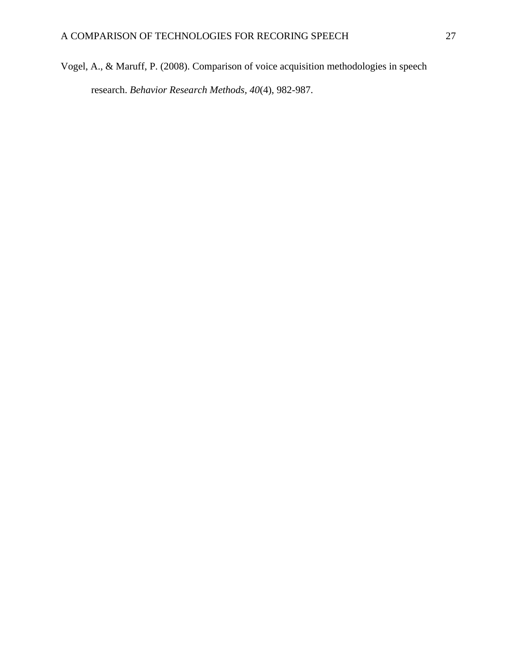Vogel, A., & Maruff, P. (2008). Comparison of voice acquisition methodologies in speech research. *Behavior Research Methods, 40*(4), 982-987.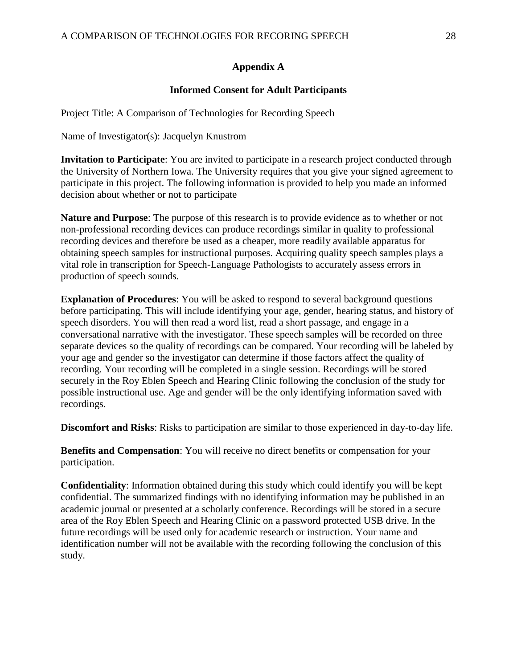## **Appendix A**

## **Informed Consent for Adult Participants**

Project Title: A Comparison of Technologies for Recording Speech

Name of Investigator(s): Jacquelyn Knustrom

**Invitation to Participate**: You are invited to participate in a research project conducted through the University of Northern Iowa. The University requires that you give your signed agreement to participate in this project. The following information is provided to help you made an informed decision about whether or not to participate

**Nature and Purpose**: The purpose of this research is to provide evidence as to whether or not non-professional recording devices can produce recordings similar in quality to professional recording devices and therefore be used as a cheaper, more readily available apparatus for obtaining speech samples for instructional purposes. Acquiring quality speech samples plays a vital role in transcription for Speech-Language Pathologists to accurately assess errors in production of speech sounds.

**Explanation of Procedures**: You will be asked to respond to several background questions before participating. This will include identifying your age, gender, hearing status, and history of speech disorders. You will then read a word list, read a short passage, and engage in a conversational narrative with the investigator. These speech samples will be recorded on three separate devices so the quality of recordings can be compared. Your recording will be labeled by your age and gender so the investigator can determine if those factors affect the quality of recording. Your recording will be completed in a single session. Recordings will be stored securely in the Roy Eblen Speech and Hearing Clinic following the conclusion of the study for possible instructional use. Age and gender will be the only identifying information saved with recordings.

**Discomfort and Risks**: Risks to participation are similar to those experienced in day-to-day life.

**Benefits and Compensation**: You will receive no direct benefits or compensation for your participation.

**Confidentiality**: Information obtained during this study which could identify you will be kept confidential. The summarized findings with no identifying information may be published in an academic journal or presented at a scholarly conference. Recordings will be stored in a secure area of the Roy Eblen Speech and Hearing Clinic on a password protected USB drive. In the future recordings will be used only for academic research or instruction. Your name and identification number will not be available with the recording following the conclusion of this study.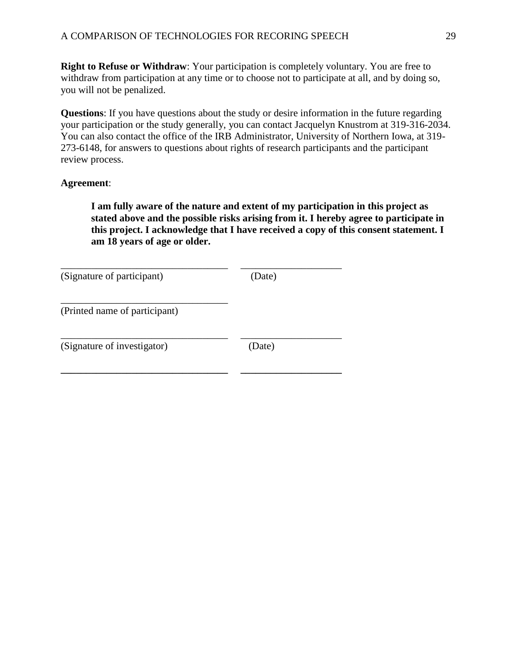**Right to Refuse or Withdraw**: Your participation is completely voluntary. You are free to withdraw from participation at any time or to choose not to participate at all, and by doing so, you will not be penalized.

**Questions**: If you have questions about the study or desire information in the future regarding your participation or the study generally, you can contact Jacquelyn Knustrom at 319-316-2034. You can also contact the office of the IRB Administrator, University of Northern Iowa, at 319- 273-6148, for answers to questions about rights of research participants and the participant review process.

### **Agreement**:

**I am fully aware of the nature and extent of my participation in this project as stated above and the possible risks arising from it. I hereby agree to participate in this project. I acknowledge that I have received a copy of this consent statement. I am 18 years of age or older.**

| (Signature of participant)    | (Date) |
|-------------------------------|--------|
| (Printed name of participant) |        |
| (Signature of investigator)   | (Date) |
|                               |        |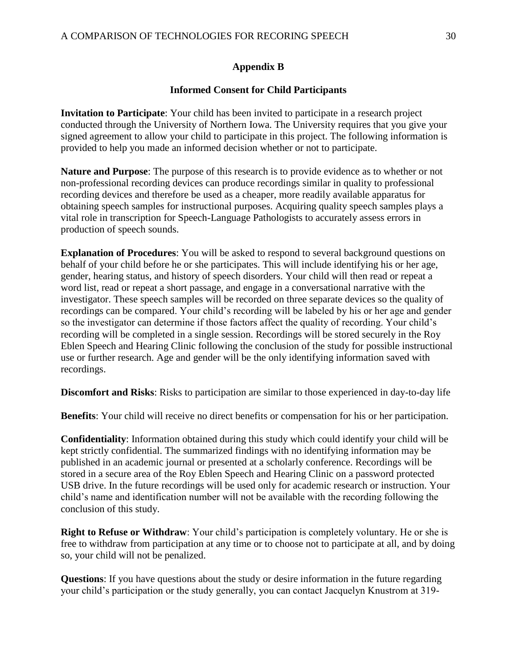## **Appendix B**

## **Informed Consent for Child Participants**

**Invitation to Participate**: Your child has been invited to participate in a research project conducted through the University of Northern Iowa. The University requires that you give your signed agreement to allow your child to participate in this project. The following information is provided to help you made an informed decision whether or not to participate.

**Nature and Purpose**: The purpose of this research is to provide evidence as to whether or not non-professional recording devices can produce recordings similar in quality to professional recording devices and therefore be used as a cheaper, more readily available apparatus for obtaining speech samples for instructional purposes. Acquiring quality speech samples plays a vital role in transcription for Speech-Language Pathologists to accurately assess errors in production of speech sounds.

**Explanation of Procedures**: You will be asked to respond to several background questions on behalf of your child before he or she participates. This will include identifying his or her age, gender, hearing status, and history of speech disorders. Your child will then read or repeat a word list, read or repeat a short passage, and engage in a conversational narrative with the investigator. These speech samples will be recorded on three separate devices so the quality of recordings can be compared. Your child's recording will be labeled by his or her age and gender so the investigator can determine if those factors affect the quality of recording. Your child's recording will be completed in a single session. Recordings will be stored securely in the Roy Eblen Speech and Hearing Clinic following the conclusion of the study for possible instructional use or further research. Age and gender will be the only identifying information saved with recordings.

**Discomfort and Risks**: Risks to participation are similar to those experienced in day-to-day life

**Benefits**: Your child will receive no direct benefits or compensation for his or her participation.

**Confidentiality**: Information obtained during this study which could identify your child will be kept strictly confidential. The summarized findings with no identifying information may be published in an academic journal or presented at a scholarly conference. Recordings will be stored in a secure area of the Roy Eblen Speech and Hearing Clinic on a password protected USB drive. In the future recordings will be used only for academic research or instruction. Your child's name and identification number will not be available with the recording following the conclusion of this study.

**Right to Refuse or Withdraw**: Your child's participation is completely voluntary. He or she is free to withdraw from participation at any time or to choose not to participate at all, and by doing so, your child will not be penalized.

**Questions**: If you have questions about the study or desire information in the future regarding your child's participation or the study generally, you can contact Jacquelyn Knustrom at 319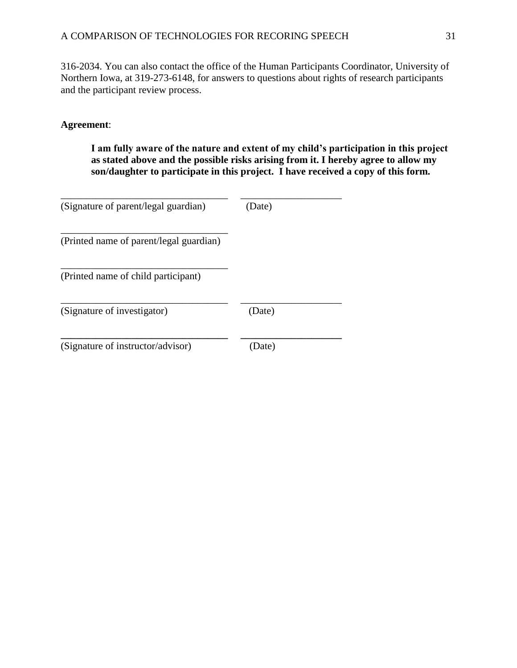316-2034. You can also contact the office of the Human Participants Coordinator, University of Northern Iowa, at 319-273-6148, for answers to questions about rights of research participants and the participant review process.

## **Agreement**:

**I am fully aware of the nature and extent of my child's participation in this project as stated above and the possible risks arising from it. I hereby agree to allow my son/daughter to participate in this project. I have received a copy of this form.**

| (Signature of parent/legal guardian)    | (Date) |  |
|-----------------------------------------|--------|--|
| (Printed name of parent/legal guardian) |        |  |
| (Printed name of child participant)     |        |  |
| (Signature of investigator)             | (Date) |  |
| (Signature of instructor/advisor)       | Date)  |  |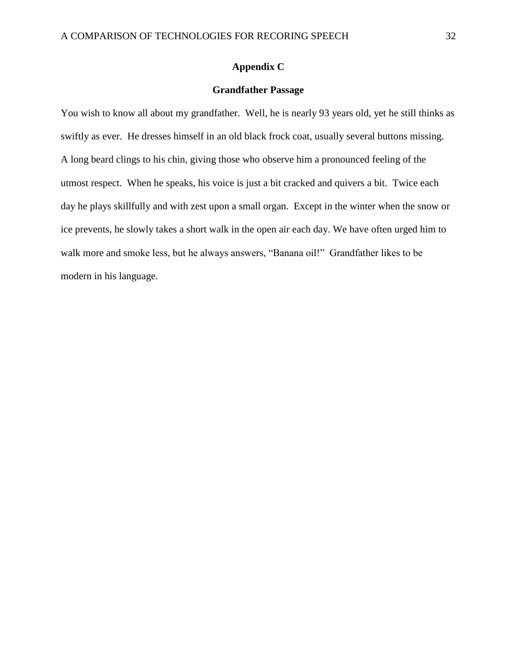#### **Appendix C**

#### **Grandfather Passage**

You wish to know all about my grandfather. Well, he is nearly 93 years old, yet he still thinks as swiftly as ever. He dresses himself in an old black frock coat, usually several buttons missing. A long beard clings to his chin, giving those who observe him a pronounced feeling of the utmost respect. When he speaks, his voice is just a bit cracked and quivers a bit. Twice each day he plays skillfully and with zest upon a small organ. Except in the winter when the snow or ice prevents, he slowly takes a short walk in the open air each day. We have often urged him to walk more and smoke less, but he always answers, "Banana oil!" Grandfather likes to be modern in his language.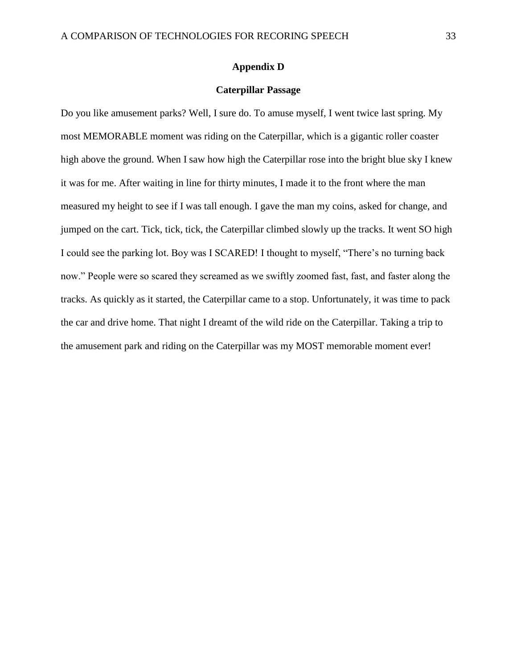#### **Appendix D**

#### **Caterpillar Passage**

Do you like amusement parks? Well, I sure do. To amuse myself, I went twice last spring. My most MEMORABLE moment was riding on the Caterpillar, which is a gigantic roller coaster high above the ground. When I saw how high the Caterpillar rose into the bright blue sky I knew it was for me. After waiting in line for thirty minutes, I made it to the front where the man measured my height to see if I was tall enough. I gave the man my coins, asked for change, and jumped on the cart. Tick, tick, tick, the Caterpillar climbed slowly up the tracks. It went SO high I could see the parking lot. Boy was I SCARED! I thought to myself, "There's no turning back now." People were so scared they screamed as we swiftly zoomed fast, fast, and faster along the tracks. As quickly as it started, the Caterpillar came to a stop. Unfortunately, it was time to pack the car and drive home. That night I dreamt of the wild ride on the Caterpillar. Taking a trip to the amusement park and riding on the Caterpillar was my MOST memorable moment ever!